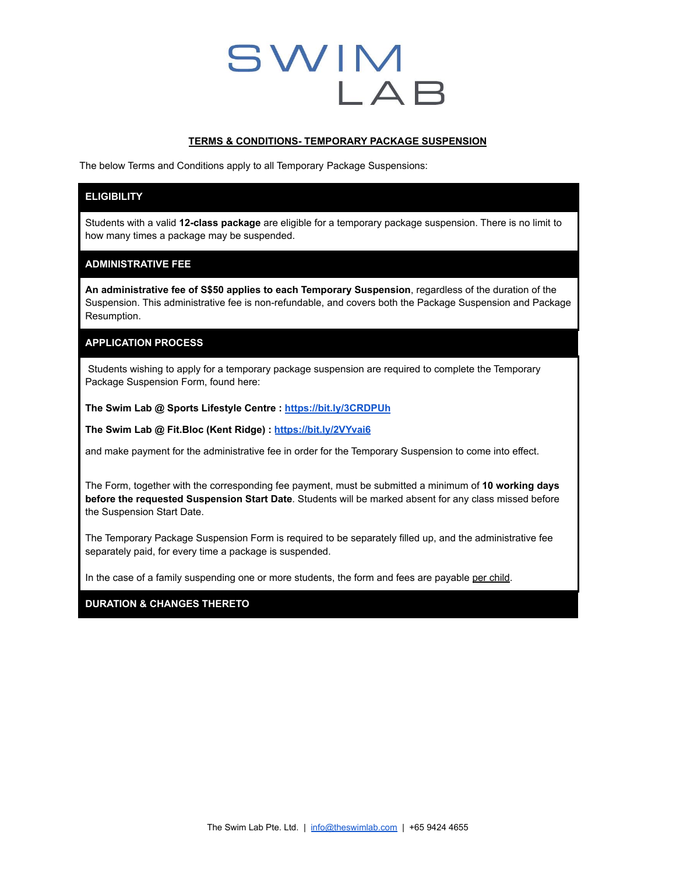# **SWIM** LAB

#### **TERMS & CONDITIONS- TEMPORARY PACKAGE SUSPENSION**

The below Terms and Conditions apply to all Temporary Package Suspensions:

## **ELIGIBILITY**

Students with a valid **12-class package** are eligible for a temporary package suspension. There is no limit to how many times a package may be suspended.

## **ADMINISTRATIVE FEE**

**An administrative fee of S\$50 applies to each Temporary Suspension**, regardless of the duration of the Suspension. This administrative fee is non-refundable, and covers both the Package Suspension and Package Resumption.

## **APPLICATION PROCESS**

Students wishing to apply for a temporary package suspension are required to complete the Temporary Package Suspension Form, found here:

**The Swim Lab @ Sports Lifestyle Centre : <https://bit.ly/3CRDPUh>**

**The Swim Lab @ Fit.Bloc (Kent Ridge) : <https://bit.ly/2VYvai6>**

and make payment for the administrative fee in order for the Temporary Suspension to come into effect.

The Form, together with the corresponding fee payment, must be submitted a minimum of **10 working days before the requested Suspension Start Date**. Students will be marked absent for any class missed before the Suspension Start Date.

The Temporary Package Suspension Form is required to be separately filled up, and the administrative fee separately paid, for every time a package is suspended.

In the case of a family suspending one or more students, the form and fees are payable per child.

### **DURATION & CHANGES THERETO**